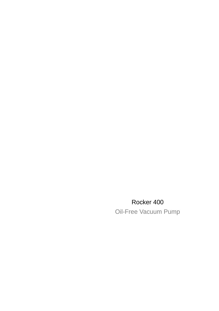## Rocker 400

Oil-Free Vacuum Pump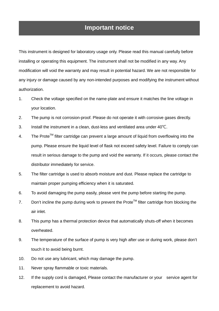### **Important notice**

This instrument is designed for laboratory usage only. Please read this manual carefully before installing or operating this equipment. The instrument shall not be modified in any way. Any modification will void the warranty and may result in potential hazard. We are not responsible for any injury or damage caused by any non-intended purposes and modifying the instrument without authorization.

- 1. Check the voltage specified on the name-plate and ensure it matches the line voltage in your location.
- 2. The pump is not corrosion-proof. Please do not operate it with corrosive gases directly.
- 3. Install the instrument in a clean, dust-less and ventilated area under 40℃.
- 4. The Prote<sup>TM</sup> filter cartridge can prevent a large amount of liquid from overflowing into the pump. Please ensure the liquid level of flask not exceed safety level. Failure to comply can result in serious damage to the pump and void the warranty. If it occurs, please contact the distributor immediately for service.
- 5. The filter cartridge is used to absorb moisture and dust. Please replace the cartridge to maintain proper pumping efficiency when it is saturated.
- 6. To avoid damaging the pump easily, please vent the pump before starting the pump.
- 7. Don't incline the pump during work to prevent the Prote™ filter cartridge from blocking the air inlet.
- 8. This pump has a thermal protection device that automatically shuts-off when it becomes overheated.
- 9. The temperature of the surface of pump is very high after use or during work, please don't touch it to avoid being burnt.
- 10. Do not use any lubricant, which may damage the pump.
- 11. Never spray flammable or toxic materials.
- 12. If the supply cord is damaged, Please contact the manufacturer or your service agent for replacement to avoid hazard.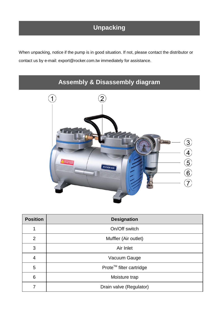# **Unpacking**

When unpacking, notice if the pump is in good situation. If not, please contact the distributor or contact us by e-mail: export@rocker.com.tw immediately for assistance.

# **Assembly & Disassembly diagram**



| <b>Position</b> | <b>Designation</b>      |
|-----------------|-------------------------|
|                 | On/Off switch           |
| $\overline{2}$  | Muffler (Air outlet)    |
| 3               | Air Inlet               |
| 4               | Vacuum Gauge            |
| 5               | Prote™ filter cartridge |
| 6               | Moisture trap           |
|                 | Drain valve (Regulator) |